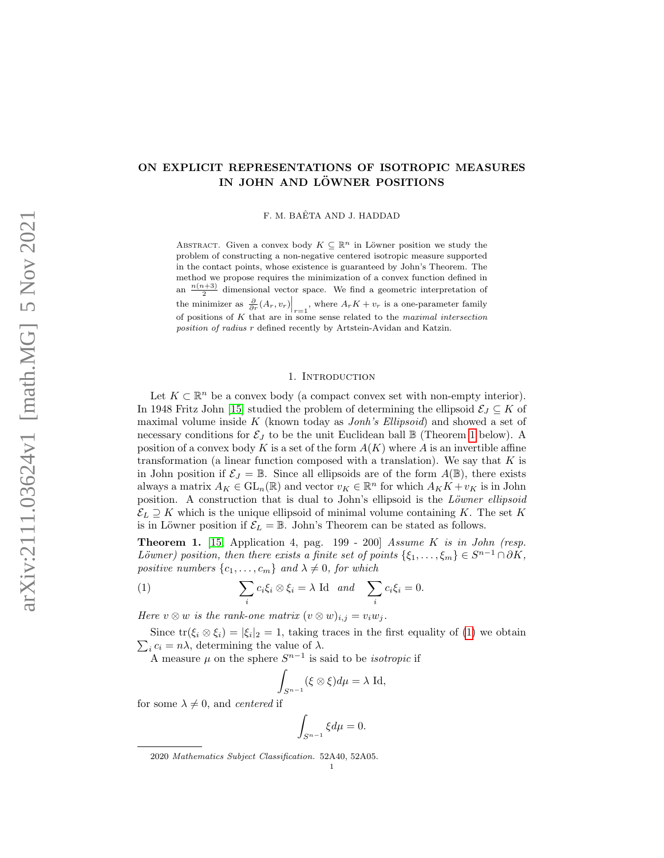## ON EXPLICIT REPRESENTATIONS OF ISOTROPIC MEASURES IN JOHN AND LÖWNER POSITIONS

F. M. BAÊTA AND J. HADDAD

ABSTRACT. Given a convex body  $K \subseteq \mathbb{R}^n$  in Löwner position we study the problem of constructing a non-negative centered isotropic measure supported in the contact points, whose existence is guaranteed by John's Theorem. The method we propose requires the minimization of a convex function defined in an  $\frac{n(n+3)}{2}$  dimensional vector space. We find a geometric interpretation of the minimizer as  $\frac{\partial}{\partial r}(A_r, v_r)\Big|_{r=1}$ , where  $A_r K + v_r$  is a one-parameter family of positions of  $K$  that are in some sense related to the maximal intersection position of radius r defined recently by Artstein-Avidan and Katzin.

### 1. INTRODUCTION

Let  $K \subset \mathbb{R}^n$  be a convex body (a compact convex set with non-empty interior). In 1948 Fritz John [\[15\]](#page-18-0) studied the problem of determining the ellipsoid  $\mathcal{E}_J \subseteq K$  of maximal volume inside  $K$  (known today as *Jonh's Ellipsoid*) and showed a set of necessary conditions for  $\mathcal{E}_J$  to be the unit Euclidean ball  $\mathbb B$  (Theorem [1](#page-0-0) below). A position of a convex body K is a set of the form  $A(K)$  where A is an invertible affine transformation (a linear function composed with a translation). We say that  $K$  is in John position if  $\mathcal{E}_J = \mathbb{B}$ . Since all ellipsoids are of the form  $A(\mathbb{B})$ , there exists always a matrix  $A_K \in GL_n(\mathbb{R})$  and vector  $v_K \in \mathbb{R}^n$  for which  $A_K K + v_K$  is in John position. A construction that is dual to John's ellipsoid is the Löwner ellipsoid  $\mathcal{E}_L \supseteq K$  which is the unique ellipsoid of minimal volume containing K. The set K is in Löwner position if  $\mathcal{E}_L = \mathbb{B}$ . John's Theorem can be stated as follows.

<span id="page-0-0"></span>**Theorem 1.** [\[15,](#page-18-0) Application 4, pag.  $199 - 200$ ] Assume K is in John (resp. Löwner) position, then there exists a finite set of points  $\{\xi_1,\ldots,\xi_m\} \in S^{n-1} \cap \partial K$ , positive numbers  $\{c_1, \ldots, c_m\}$  and  $\lambda \neq 0$ , for which

<span id="page-0-1"></span>(1) 
$$
\sum_i c_i \xi_i \otimes \xi_i = \lambda \text{ Id } \text{ and } \sum_i c_i \xi_i = 0.
$$

Here  $v \otimes w$  is the rank-one matrix  $(v \otimes w)_{i,j} = v_i w_j$ .

Since  $\text{tr}(\xi_i \otimes \xi_i) = |\xi_i|_2 = 1$ , taking traces in the first equality of [\(1\)](#page-0-1) we obtain  $\sum_i c_i = n\lambda$ , determining the value of  $\lambda$ .

A measure  $\mu$  on the sphere  $S^{n-1}$  is said to be *isotropic* if

$$
\int_{S^{n-1}} (\xi \otimes \xi) d\mu = \lambda \operatorname{Id},
$$

for some  $\lambda \neq 0$ , and *centered* if

$$
\int_{S^{n-1}} \xi d\mu = 0.
$$

2020 Mathematics Subject Classification. 52A40, 52A05.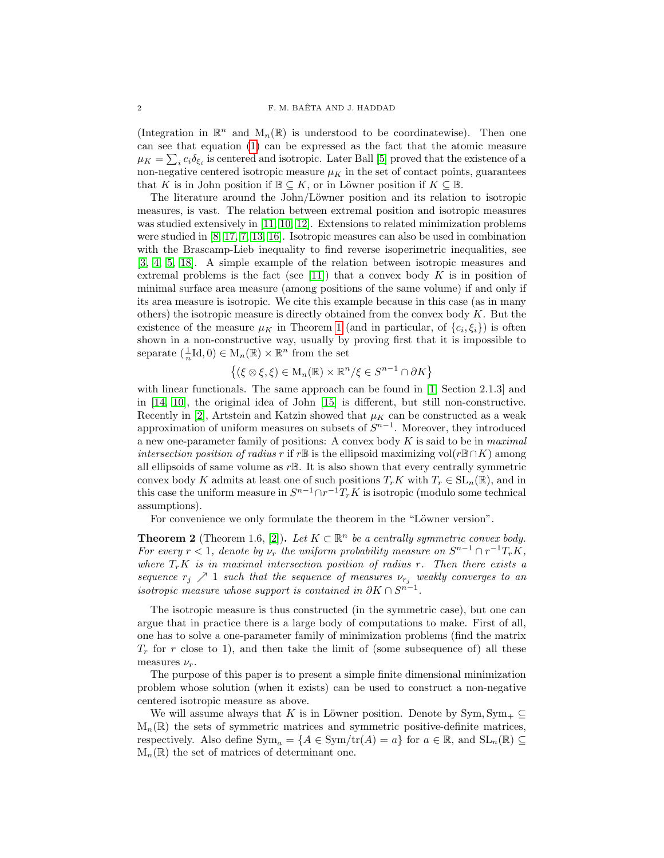(Integration in  $\mathbb{R}^n$  and  $M_n(\mathbb{R})$  is understood to be coordinatewise). Then one can see that equation [\(1\)](#page-0-1) can be expressed as the fact that the atomic measure  $\mu_K = \sum_i c_i \delta_{\xi_i}$  is centered and isotropic. Later Ball [\[5\]](#page-17-0) proved that the existence of a non-negative centered isotropic measure  $\mu_K$  in the set of contact points, guarantees that K is in John position if  $\mathbb{B} \subseteq K$ , or in Löwner position if  $K \subseteq \mathbb{B}$ .

The literature around the John/Löwner position and its relation to isotropic measures, is vast. The relation between extremal position and isotropic measures was studied extensively in [\[11,](#page-17-1) [10,](#page-17-2) [12\]](#page-17-3). Extensions to related minimization problems were studied in [\[8,](#page-17-4) [17,](#page-18-1) [7,](#page-17-5) [13,](#page-17-6) [16\]](#page-18-2). Isotropic measures can also be used in combination with the Brascamp-Lieb inequality to find reverse isoperimetric inequalities, see [\[3,](#page-17-7) [4,](#page-17-8) [5,](#page-17-0) [18\]](#page-18-3). A simple example of the relation between isotropic measures and extremal problems is the fact (see [\[11\]](#page-17-1)) that a convex body  $K$  is in position of minimal surface area measure (among positions of the same volume) if and only if its area measure is isotropic. We cite this example because in this case (as in many others) the isotropic measure is directly obtained from the convex body  $K$ . But the existence of the measure  $\mu_K$  in Theorem [1](#page-0-0) (and in particular, of  $\{c_i, \xi_i\}$ ) is often shown in a non-constructive way, usually by proving first that it is impossible to separate  $(\frac{1}{n}\mathrm{Id}, 0) \in M_n(\mathbb{R}) \times \mathbb{R}^n$  from the set

$$
\{(\xi \otimes \xi, \xi) \in M_n(\mathbb{R}) \times \mathbb{R}^n/\xi \in S^{n-1} \cap \partial K\}
$$

with linear functionals. The same approach can be found in [\[1,](#page-17-9) Section 2.1.3] and in [\[14,](#page-17-10) [10\]](#page-17-2), the original idea of John [\[15\]](#page-18-0) is different, but still non-constructive. Recently in [\[2\]](#page-17-11), Artstein and Katzin showed that  $\mu_K$  can be constructed as a weak approximation of uniform measures on subsets of  $S^{n-1}$ . Moreover, they introduced a new one-parameter family of positions: A convex body  $K$  is said to be in *maximal intersection position of radius r* if r $\mathbb{B}$  is the ellipsoid maximizing vol(r $\mathbb{B}\cap K$ ) among all ellipsoids of same volume as  $r\mathbb{B}$ . It is also shown that every centrally symmetric convex body K admits at least one of such positions  $T_rK$  with  $T_r \in SL_n(\mathbb{R})$ , and in this case the uniform measure in  $S^{n-1}\cap r^{-1}T_rK$  is isotropic (modulo some technical assumptions).

For convenience we only formulate the theorem in the "Löwner version".

<span id="page-1-0"></span>**Theorem 2** (Theorem 1.6, [\[2\]](#page-17-11)). Let  $K \subset \mathbb{R}^n$  be a centrally symmetric convex body. For every  $r < 1$ , denote by  $\nu_r$  the uniform probability measure on  $S^{n-1} \cap r^{-1}T_rK$ , where  $T_rK$  is in maximal intersection position of radius r. Then there exists a sequence  $r_j \nearrow 1$  such that the sequence of measures  $\nu_{r_j}$  weakly converges to an isotropic measure whose support is contained in  $\partial K \cap S^{n-1}$ .

The isotropic measure is thus constructed (in the symmetric case), but one can argue that in practice there is a large body of computations to make. First of all, one has to solve a one-parameter family of minimization problems (find the matrix  $T_r$  for r close to 1), and then take the limit of (some subsequence of) all these measures  $\nu_r$ .

The purpose of this paper is to present a simple finite dimensional minimization problem whose solution (when it exists) can be used to construct a non-negative centered isotropic measure as above.

We will assume always that K is in Löwner position. Denote by Sym,  $Sym_+ \subseteq$  $M_n(\mathbb{R})$  the sets of symmetric matrices and symmetric positive-definite matrices, respectively. Also define  $\text{Sym}_a = \{A \in \text{Sym}/\text{tr}(A) = a\}$  for  $a \in \mathbb{R}$ , and  $\text{SL}_n(\mathbb{R}) \subseteq$  $M_n(\mathbb{R})$  the set of matrices of determinant one.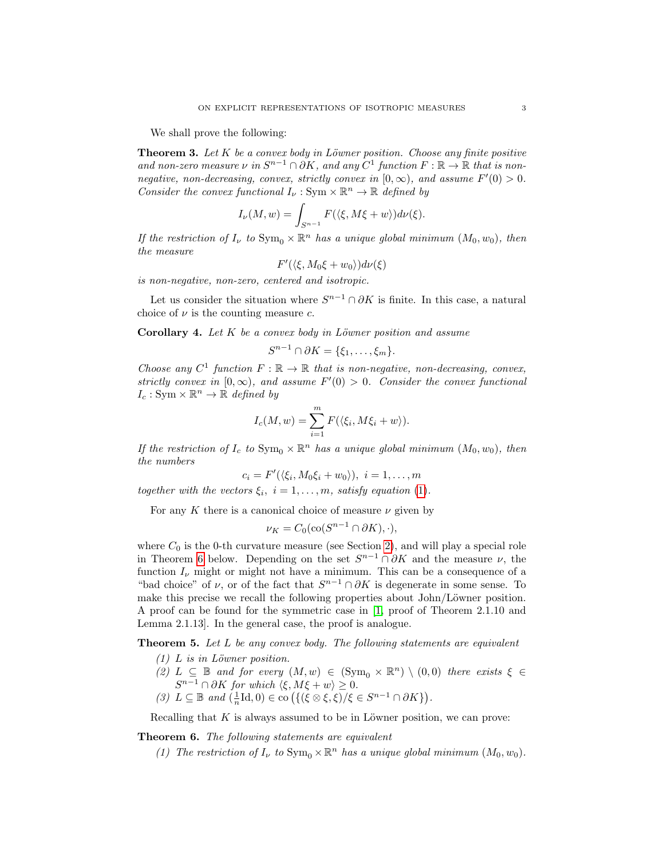We shall prove the following:

<span id="page-2-1"></span>**Theorem 3.** Let  $K$  be a convex body in Löwner position. Choose any finite positive and non-zero measure  $\nu$  in  $S^{n-1} \cap \partial K$ , and any  $C^1$  function  $F : \mathbb{R} \to \mathbb{R}$  that is nonnegative, non-decreasing, convex, strictly convex in  $[0, \infty)$ , and assume  $F'(0) > 0$ . Consider the convex functional  $I_{\nu} : \text{Sym} \times \mathbb{R}^n \to \mathbb{R}$  defined by

$$
I_{\nu}(M,w) = \int_{S^{n-1}} F(\langle \xi, M\xi + w \rangle) d\nu(\xi).
$$

If the restriction of  $I_{\nu}$  to  $\text{Sym}_{0} \times \mathbb{R}^{n}$  has a unique global minimum  $(M_{0}, w_{0})$ , then the measure

$$
F'(\langle \xi, M_0 \xi + w_0 \rangle) d\nu(\xi)
$$

is non-negative, non-zero, centered and isotropic.

Let us consider the situation where  $S^{n-1} \cap \partial K$  is finite. In this case, a natural choice of  $\nu$  is the counting measure c.

Corollary 4. Let  $K$  be a convex body in Löwner position and assume

$$
S^{n-1} \cap \partial K = \{\xi_1, \ldots, \xi_m\}.
$$

Choose any  $C^1$  function  $F : \mathbb{R} \to \mathbb{R}$  that is non-negative, non-decreasing, convex, strictly convex in  $[0, \infty)$ , and assume  $F'(0) > 0$ . Consider the convex functional  $I_c: Sym \times \mathbb{R}^n \to \mathbb{R}$  defined by

$$
I_c(M, w) = \sum_{i=1}^m F(\langle \xi_i, M\xi_i + w \rangle).
$$

If the restriction of  $I_c$  to  $Sym_0 \times \mathbb{R}^n$  has a unique global minimum  $(M_0, w_0)$ , then the numbers

$$
c_i = F'(\langle \xi_i, M_0 \xi_i + w_0 \rangle), \ i = 1, \dots, m
$$

together with the vectors  $\xi_i$ ,  $i = 1, \ldots, m$ , satisfy equation [\(1\)](#page-0-1).

For any K there is a canonical choice of measure  $\nu$  given by

$$
\nu_K = C_0(\text{co}(S^{n-1} \cap \partial K), \cdot),
$$

where  $C_0$  is the 0-th curvature measure (see Section [2\)](#page-6-0), and will play a special role in Theorem [6](#page-2-0) below. Depending on the set  $S^{n-1} \cap \partial K$  and the measure  $\nu$ , the function  $I_{\nu}$  might or might not have a minimum. This can be a consequence of a "bad choice" of  $\nu$ , or of the fact that  $S^{n-1} \cap \partial K$  is degenerate in some sense. To make this precise we recall the following properties about John/Löwner position. A proof can be found for the symmetric case in [\[1,](#page-17-9) proof of Theorem 2.1.10 and Lemma 2.1.13]. In the general case, the proof is analogue.

<span id="page-2-2"></span>**Theorem 5.** Let  $L$  be any convex body. The following statements are equivalent

- $(1)$  L is in Löwner position.
- (2)  $L \subseteq \mathbb{B}$  and for every  $(M, w) \in (\text{Sym}_{0} \times \mathbb{R}^{n}) \setminus (0, 0)$  there exists  $\xi \in$  $S^{n-1} \cap \partial K$  for which  $\langle \xi, M\xi + w \rangle \geq 0$ .
- (3)  $L \subseteq \mathbb{B}$  and  $\left(\frac{1}{n}\text{Id},0\right) \in \text{co}\left(\left\{\left(\xi \otimes \xi,\xi\right) / \xi \in S^{n-1} \cap \partial K\right\}\right).$

Recalling that  $K$  is always assumed to be in Löwner position, we can prove:

<span id="page-2-0"></span>Theorem 6. The following statements are equivalent

(1) The restriction of  $I_{\nu}$  to  $\text{Sym}_{0} \times \mathbb{R}^{n}$  has a unique global minimum  $(M_{0}, w_{0})$ .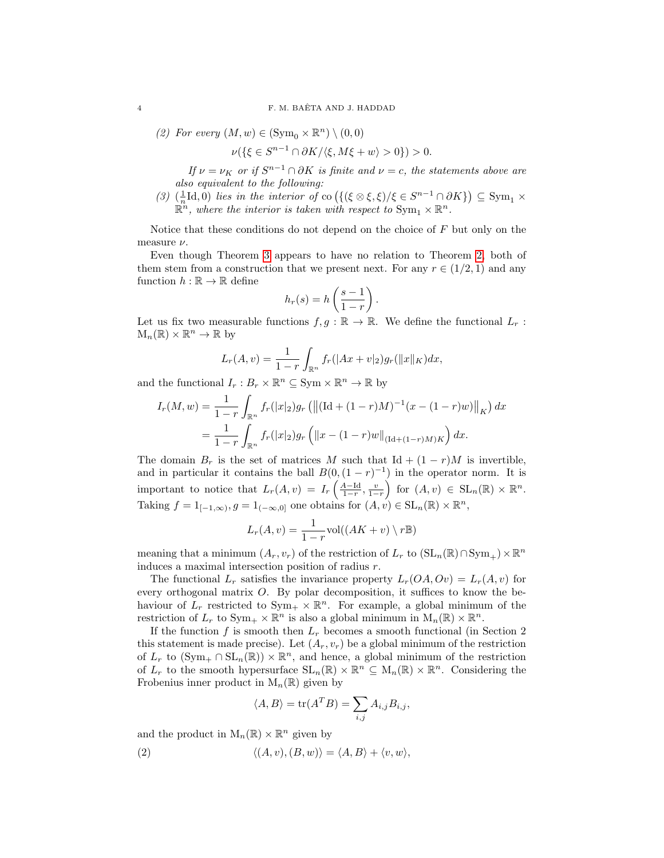(2) For every  $(M, w) \in (\mathrm{Sym}_{0} \times \mathbb{R}^{n}) \setminus (0, 0)$ 

$$
\nu(\{\xi \in S^{n-1} \cap \partial K/\langle \xi, M\xi + w \rangle > 0\}) > 0.
$$

If  $\nu = \nu_K$  or if  $S^{n-1} \cap \partial K$  is finite and  $\nu = c$ , the statements above are also equivalent to the following:

(3)  $(\frac{1}{n}\text{Id}, 0)$  lies in the interior of co  $(\{(\xi \otimes \xi, \xi)/\xi \in S^{n-1} \cap \partial K\}) \subseteq \text{Sym}_1 \times$  $\mathbb{R}^n$ , where the interior is taken with respect to  $\text{Sym}_1 \times \mathbb{R}^n$ .

Notice that these conditions do not depend on the choice of  $F$  but only on the measure  $\nu.$ 

Even though Theorem [3](#page-2-1) appears to have no relation to Theorem [2,](#page-1-0) both of them stem from a construction that we present next. For any  $r \in (1/2, 1)$  and any function  $h : \mathbb{R} \to \mathbb{R}$  define

$$
h_r(s) = h\left(\frac{s-1}{1-r}\right).
$$

Let us fix two measurable functions  $f, g : \mathbb{R} \to \mathbb{R}$ . We define the functional  $L_r$ :  $M_n(\mathbb{R}) \times \mathbb{R}^n \to \mathbb{R}$  by

$$
L_r(A, v) = \frac{1}{1-r} \int_{\mathbb{R}^n} f_r(|Ax + v|_2) g_r(||x||_K) dx,
$$

and the functional  $I_r: B_r \times \mathbb{R}^n \subseteq \text{Sym} \times \mathbb{R}^n \to \mathbb{R}$  by

$$
I_r(M, w) = \frac{1}{1-r} \int_{\mathbb{R}^n} f_r(|x|_2) g_r \left( \left\| (\text{Id} + (1-r)M)^{-1} (x - (1-r)w) \right\|_K \right) dx
$$
  
= 
$$
\frac{1}{1-r} \int_{\mathbb{R}^n} f_r(|x|_2) g_r \left( \left\| x - (1-r)w \right\|_{(\text{Id} + (1-r)M)K} \right) dx.
$$

The domain  $B_r$  is the set of matrices M such that Id +  $(1 - r)M$  is invertible, and in particular it contains the ball  $B(0, (1 - r)^{-1})$  in the operator norm. It is important to notice that  $L_r(A, v) = I_r\left(\frac{A-\mathrm{Id}}{1-r}, \frac{v}{1-r}\right)$  for  $(A, v) \in \mathrm{SL}_n(\mathbb{R}) \times \mathbb{R}^n$ . Taking  $f = 1_{[-1,\infty)}, g = 1_{(-\infty,0]}$  one obtains for  $(A, v) \in SL_n(\mathbb{R}) \times \mathbb{R}^n$ ,

$$
L_r(A, v) = \frac{1}{1 - r} \text{vol}((AK + v) \setminus r\mathbb{B})
$$

meaning that a minimum  $(A_r, v_r)$  of the restriction of  $L_r$  to  $(\mathrm{SL}_n(\mathbb{R}) \cap \mathrm{Sym}_+) \times \mathbb{R}^n$ induces a maximal intersection position of radius r.

The functional  $L_r$  satisfies the invariance property  $L_r(OA, Ov) = L_r(A, v)$  for every orthogonal matrix O. By polar decomposition, it suffices to know the behaviour of  $L_r$  restricted to  $Sym_+ \times \mathbb{R}^n$ . For example, a global minimum of the restriction of  $L_r$  to  $Sym_+ \times \mathbb{R}^n$  is also a global minimum in  $M_n(\mathbb{R}) \times \mathbb{R}^n$ .

If the function f is smooth then  $L_r$  becomes a smooth functional (in Section 2) this statement is made precise). Let  $(A_r, v_r)$  be a global minimum of the restriction of  $L_r$  to  $(\text{Sym}_+ \cap \text{SL}_n(\mathbb{R})) \times \mathbb{R}^n$ , and hence, a global minimum of the restriction of  $L_r$  to the smooth hypersurface  $SL_n(\mathbb{R}) \times \mathbb{R}^n \subseteq M_n(\mathbb{R}) \times \mathbb{R}^n$ . Considering the Frobenius inner product in  $M_n(\mathbb{R})$  given by

$$
\langle A, B \rangle = \text{tr}(A^T B) = \sum_{i,j} A_{i,j} B_{i,j},
$$

and the product in  $M_n(\mathbb{R}) \times \mathbb{R}^n$  given by

<span id="page-3-0"></span>(2) 
$$
\langle (A, v), (B, w) \rangle = \langle A, B \rangle + \langle v, w \rangle,
$$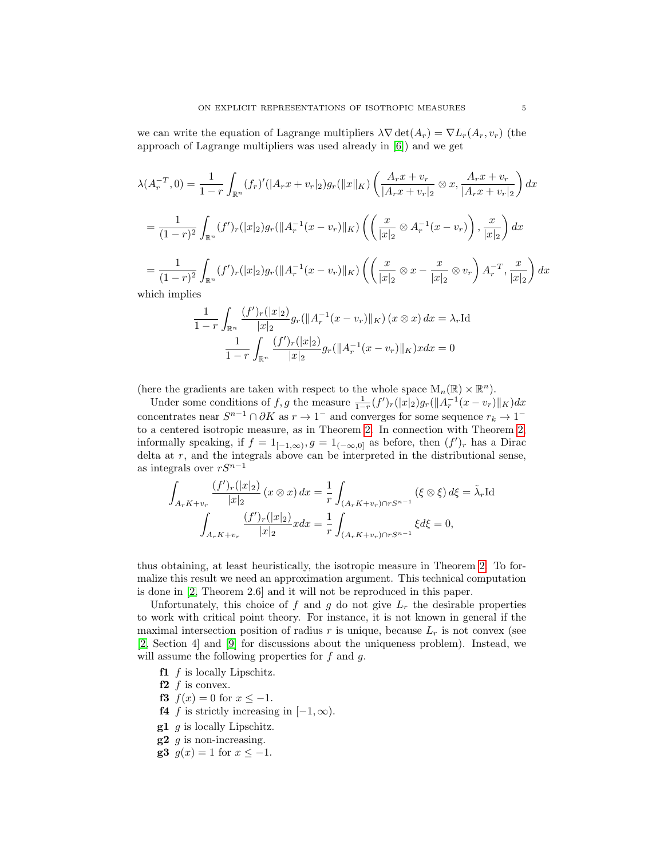we can write the equation of Lagrange multipliers  $\lambda \nabla \det(A_r) = \nabla L_r(A_r, v_r)$  (the approach of Lagrange multipliers was used already in [\[6\]](#page-17-12)) and we get

$$
\lambda(A_r^{-T}, 0) = \frac{1}{1-r} \int_{\mathbb{R}^n} (f_r)'(|A_rx + v_r|_2) g_r(||x||_K) \left( \frac{A_rx + v_r}{|A_rx + v_r|_2} \otimes x, \frac{A_rx + v_r}{|A_rx + v_r|_2} \right) dx
$$
  
\n
$$
= \frac{1}{(1-r)^2} \int_{\mathbb{R}^n} (f')_r(|x|_2) g_r(||A_r^{-1}(x - v_r)||_K) \left( \left( \frac{x}{|x|_2} \otimes A_r^{-1}(x - v_r) \right), \frac{x}{|x|_2} \right) dx
$$
  
\n
$$
= \frac{1}{(1-r)^2} \int_{\mathbb{R}^n} (f')_r(|x|_2) g_r(||A_r^{-1}(x - v_r)||_K) \left( \left( \frac{x}{|x|_2} \otimes x - \frac{x}{|x|_2} \otimes v_r \right) A_r^{-T}, \frac{x}{|x|_2} \right) dx
$$
  
\nwhich implies

$$
\frac{1}{1-r} \int_{\mathbb{R}^n} \frac{(f')_r(|x|_2)}{|x|_2} g_r(||A_r^{-1}(x-v_r)||_K) (x \otimes x) dx = \lambda_r \text{Id}
$$

$$
\frac{1}{1-r} \int_{\mathbb{R}^n} \frac{(f')_r(|x|_2)}{|x|_2} g_r(||A_r^{-1}(x-v_r)||_K) x dx = 0
$$

(here the gradients are taken with respect to the whole space  $M_n(\mathbb{R}) \times \mathbb{R}^n$ ).

Under some conditions of f, g the measure  $\frac{1}{1-r}(f')_r(|x|_2)g_r(||A_r^{-1}(x-v_r)||_K)dx$ concentrates near  $S^{n-1} \cap \partial K$  as  $r \to 1^-$  and converges for some sequence  $r_k \to 1^$ to a centered isotropic measure, as in Theorem [2.](#page-1-0) In connection with Theorem [2,](#page-1-0) informally speaking, if  $f = 1_{[-1,\infty)}, g = 1_{(-\infty,0]}$  as before, then  $(f')_r$  has a Dirac delta at  $r$ , and the integrals above can be interpreted in the distributional sense, as integrals over  $rS^{n-1}$ 

$$
\int_{A_r K + v_r} \frac{(f')_r(|x|_2)}{|x|_2} (x \otimes x) dx = \frac{1}{r} \int_{(A_r K + v_r) \cap rS^{n-1}} (\xi \otimes \xi) d\xi = \tilde{\lambda}_r \text{Id}
$$
\n
$$
\int_{A_r K + v_r} \frac{(f')_r(|x|_2)}{|x|_2} x dx = \frac{1}{r} \int_{(A_r K + v_r) \cap rS^{n-1}} \xi d\xi = 0,
$$

thus obtaining, at least heuristically, the isotropic measure in Theorem [2.](#page-1-0) To formalize this result we need an approximation argument. This technical computation is done in [\[2,](#page-17-11) Theorem 2.6] and it will not be reproduced in this paper.

Unfortunately, this choice of f and g do not give  $L<sub>r</sub>$  the desirable properties to work with critical point theory. For instance, it is not known in general if the maximal intersection position of radius  $r$  is unique, because  $L_r$  is not convex (see [\[2,](#page-17-11) Section 4] and [\[9\]](#page-17-13) for discussions about the uniqueness problem). Instead, we will assume the following properties for  $f$  and  $g$ .

<span id="page-4-0"></span> $f1$  f is locally Lipschitz.

<span id="page-4-1"></span> $f2$  f is convex.

- <span id="page-4-3"></span>**f3**  $f(x) = 0$  for  $x \le -1$ .
- <span id="page-4-4"></span>**f4** f is strictly increasing in  $[-1, \infty)$ .
- <span id="page-4-2"></span> $g1$  g is locally Lipschitz.
- $g2$  g is non-increasing.
- <span id="page-4-5"></span>g3  $g(x) = 1$  for  $x \le -1$ .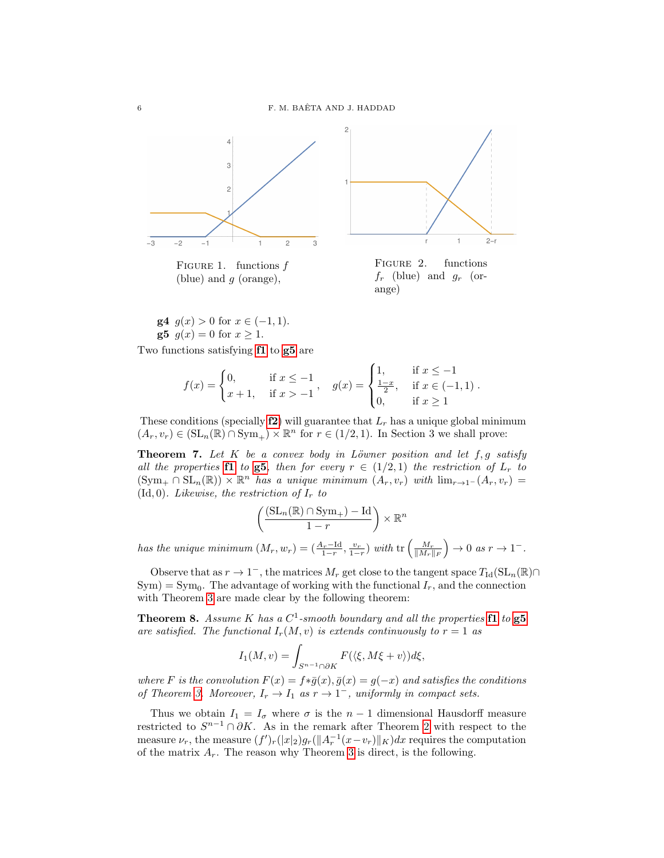

FIGURE 1. functions  $f$ (blue) and  $g$  (orange),

FIGURE 2. functions  $f_r$  (blue) and  $g_r$  (orange)

<span id="page-5-3"></span>**g4**  $g(x) > 0$  for  $x \in (-1, 1)$ . **g5**  $g(x) = 0$  for  $x \ge 1$ .

<span id="page-5-0"></span>Two functions satisfying [f1](#page-4-0) to [g5](#page-5-0) are

$$
f(x) = \begin{cases} 0, & \text{if } x \le -1 \\ x+1, & \text{if } x > -1 \end{cases}, \quad g(x) = \begin{cases} 1, & \text{if } x \le -1 \\ \frac{1-x}{2}, & \text{if } x \in (-1,1) \\ 0, & \text{if } x \ge 1 \end{cases}.
$$

These conditions (specially  $f2$ ) will guarantee that  $L_r$  has a unique global minimum  $(A_r, v_r) \in (\mathrm{SL}_n(\mathbb{R}) \cap \mathrm{Sym}_+) \times \mathbb{R}^n$  for  $r \in (1/2, 1)$ . In Section 3 we shall prove:

<span id="page-5-1"></span>**Theorem 7.** Let K be a convex body in Löwner position and let  $f, g$  satisfy all the properties **[f1](#page-4-0)** to **[g5](#page-5-0)**, then for every  $r \in (1/2, 1)$  the restriction of  $L_r$  to  $(\text{Sym}_+ \cap \text{SL}_n(\mathbb{R})) \times \mathbb{R}^n$  has a unique minimum  $(A_r, v_r)$  with  $\lim_{r\to 1^-} (A_r, v_r)$ (Id, 0). Likewise, the restriction of  $I_r$  to

$$
\left(\frac{(\mathrm{SL}_n(\mathbb{R})\cap \mathrm{Sym}_+)-\mathrm{Id}}{1-r}\right)\times \mathbb{R}^n
$$

has the unique minimum  $(M_r, w_r) = \left(\frac{A_r - \text{Id}}{1-r}, \frac{v_r}{1-r}\right)$  with  $\text{tr}\left(\frac{M_r}{\|M_r\|_F}\right) \to 0$  as  $r \to 1^-$ .

Observe that as  $r \to 1^-$ , the matrices  $M_r$  get close to the tangent space  $T_{\text{Id}}(\text{SL}_n(\mathbb{R}) \cap$  $\text{Sym}$ ) =  $\text{Sym}_0$ . The advantage of working with the functional  $I_r$ , and the connection with Theorem [3](#page-2-1) are made clear by the following theorem:

<span id="page-5-2"></span>**Theorem 8.** Assume K has a  $C^1$ -smooth boundary and all the properties  $f1$  to  $g5$ are satisfied. The functional  $I_r(M, v)$  is extends continuously to  $r = 1$  as

$$
I_1(M,v) = \int_{S^{n-1} \cap \partial K} F(\langle \xi, M\xi + v \rangle) d\xi,
$$

where F is the convolution  $F(x) = f * \bar{g}(x), \bar{g}(x) = g(-x)$  and satisfies the conditions of Theorem [3.](#page-2-1) Moreover,  $I_r \to I_1$  as  $r \to 1^-$ , uniformly in compact sets.

Thus we obtain  $I_1 = I_{\sigma}$  where  $\sigma$  is the  $n-1$  dimensional Hausdorff measure restricted to  $S^{n-1} \cap \partial K$ . As in the remark after Theorem [2](#page-1-0) with respect to the measure  $\nu_r$ , the measure  $(f')_r(|x|_2)g_r(||A_r^{-1}(x-v_r)||_K)dx$  requires the computation of the matrix  $A_r$ . The reason why Theorem [3](#page-2-1) is direct, is the following.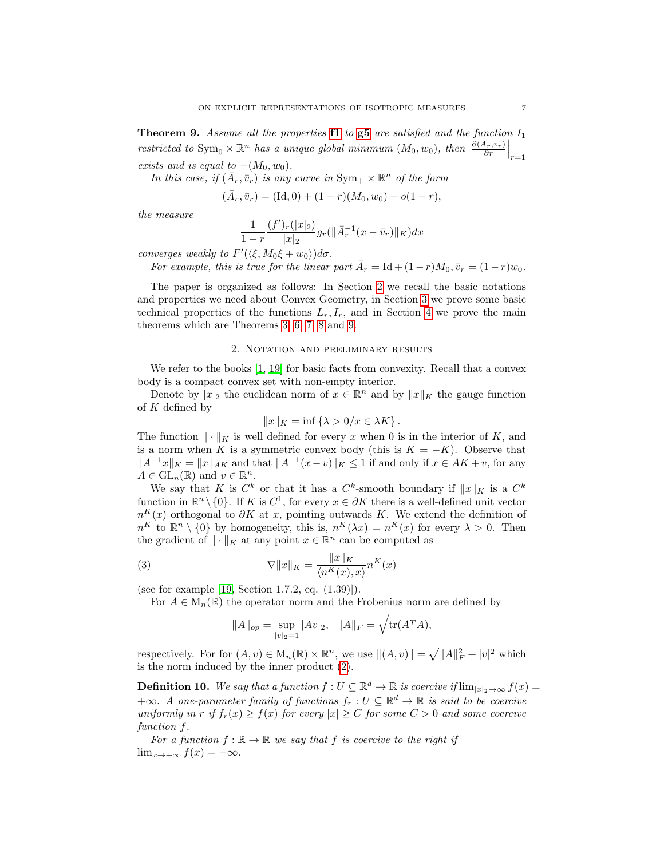<span id="page-6-1"></span>**Theorem 9.** Assume all the properties **[f1](#page-4-0)** to  $g5$  are satisfied and the function  $I_1$ restricted to  $\text{Sym}_{0} \times \mathbb{R}^{n}$  has a unique global minimum  $(M_{0}, w_{0})$ , then  $\frac{\partial (A_{r}, v_{r})}{\partial r}\Big|_{r=1}$ exists and is equal to  $-(M_0, w_0)$ .

In this case, if  $(\bar{A}_r, \bar{v}_r)$  is any curve in  $Sym_+ \times \mathbb{R}^n$  of the form

 $(\bar{A}_r, \bar{v}_r) = (\text{Id}, 0) + (1 - r)(M_0, w_0) + o(1 - r),$ 

the measure

$$
\frac{1}{1-r} \frac{(f')_r(|x|_2)}{|x|_2} g_r(||\bar{A}_r^{-1}(x-\bar{v}_r)||_K) dx
$$

converges weakly to  $F'(\langle \xi, M_0 \xi + w_0 \rangle) d\sigma$ .

For example, this is true for the linear part  $\bar{A}_r = \text{Id} + (1 - r)M_0, \bar{v}_r = (1 - r)w_0$ .

The paper is organized as follows: In Section [2](#page-6-0) we recall the basic notations and properties we need about Convex Geometry, in Section [3](#page-7-0) we prove some basic technical properties of the functions  $L_r, I_r$ , and in Section [4](#page-10-0) we prove the main theorems which are Theorems [3,](#page-2-1) [6,](#page-2-0) [7,](#page-5-1) [8](#page-5-2) and [9.](#page-6-1)

#### 2. Notation and preliminary results

<span id="page-6-0"></span>We refer to the books [\[1,](#page-17-9) [19\]](#page-18-4) for basic facts from convexity. Recall that a convex body is a compact convex set with non-empty interior.

Denote by  $|x|_2$  the euclidean norm of  $x \in \mathbb{R}^n$  and by  $||x||_K$  the gauge function of  $K$  defined by

$$
||x||_K = \inf \{ \lambda > 0/x \in \lambda K \}.
$$

The function  $\|\cdot\|_K$  is well defined for every x when 0 is in the interior of K, and is a norm when K is a symmetric convex body (this is  $K = -K$ ). Observe that  $||A^{-1}x||_K = ||x||_{AK}$  and that  $||A^{-1}(x-v)||_K \leq 1$  if and only if  $x \in AK + v$ , for any  $A \in \mathrm{GL}_n(\mathbb{R})$  and  $v \in \mathbb{R}^n$ .

We say that K is  $C^k$  or that it has a  $C^k$ -smooth boundary if  $||x||_K$  is a  $C^k$ function in  $\mathbb{R}^n \setminus \{0\}$ . If K is  $C^1$ , for every  $x \in \partial K$  there is a well-defined unit vector  $n^{K}(x)$  orthogonal to  $\partial K$  at x, pointing outwards K. We extend the definition of  $n^{K}$  to  $\mathbb{R}^{n} \setminus \{0\}$  by homogeneity, this is,  $n^{K}(\lambda x) = n^{K}(x)$  for every  $\lambda > 0$ . Then the gradient of  $\|\cdot\|_K$  at any point  $x \in \mathbb{R}^n$  can be computed as

<span id="page-6-2"></span>(3) 
$$
\nabla ||x||_K = \frac{||x||_K}{\langle n^K(x), x \rangle} n^K(x)
$$

(see for example [\[19,](#page-18-4) Section 1.7.2, eq. (1.39)]).

For  $A \in M_n(\mathbb{R})$  the operator norm and the Frobenius norm are defined by

$$
||A||_{op} = \sup_{|v|_2=1} |Av|_2, \quad ||A||_F = \sqrt{\text{tr}(A^T A)},
$$

respectively. For for  $(A, v) \in M_n(\mathbb{R}) \times \mathbb{R}^n$ , we use  $||(A, v)|| = \sqrt{||A||_F^2 + |v|^2}$  which is the norm induced by the inner product [\(2\)](#page-3-0).

**Definition 10.** We say that a function  $f: U \subseteq \mathbb{R}^d \to \mathbb{R}$  is coercive if  $\lim_{|x|_2 \to \infty} f(x) =$  $+\infty$ . A one-parameter family of functions  $f_r : U \subseteq \mathbb{R}^d \to \mathbb{R}$  is said to be coercive uniformly in r if  $f_r(x) \ge f(x)$  for every  $|x| \ge C$  for some  $C > 0$  and some coercive function f.

For a function  $f : \mathbb{R} \to \mathbb{R}$  we say that f is coercive to the right if  $\lim_{x \to +\infty} f(x) = +\infty.$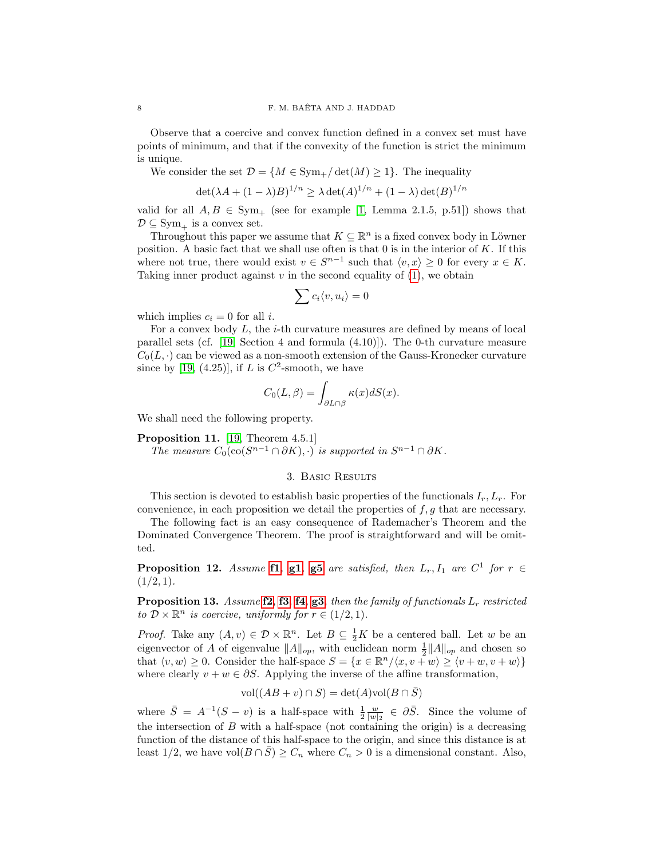Observe that a coercive and convex function defined in a convex set must have points of minimum, and that if the convexity of the function is strict the minimum is unique.

We consider the set  $\mathcal{D} = \{M \in \text{Sym}_+/\det(M) \geq 1\}$ . The inequality

$$
\det(\lambda A + (1 - \lambda)B)^{1/n} \ge \lambda \det(A)^{1/n} + (1 - \lambda) \det(B)^{1/n}
$$

valid for all  $A, B \in Sym_+$  (see for example [\[1,](#page-17-9) Lemma 2.1.5, p.51]) shows that  $\mathcal{D} \subseteq \text{Sym}_{+}$  is a convex set.

Throughout this paper we assume that  $K \subseteq \mathbb{R}^n$  is a fixed convex body in Löwner position. A basic fact that we shall use often is that  $0$  is in the interior of  $K$ . If this where not true, there would exist  $v \in S^{n-1}$  such that  $\langle v, x \rangle \geq 0$  for every  $x \in K$ . Taking inner product against  $v$  in the second equality of  $(1)$ , we obtain

$$
\sum c_i \langle v, u_i \rangle = 0
$$

which implies  $c_i = 0$  for all i.

For a convex body  $L$ , the *i*-th curvature measures are defined by means of local parallel sets (cf. [\[19,](#page-18-4) Section 4 and formula  $(4.10)$ ]). The 0-th curvature measure  $C_0(L, \cdot)$  can be viewed as a non-smooth extension of the Gauss-Kronecker curvature since by [\[19,](#page-18-4) (4.25)], if L is  $C^2$ -smooth, we have

$$
C_0(L,\beta) = \int_{\partial L \cap \beta} \kappa(x) dS(x).
$$

We shall need the following property.

<span id="page-7-2"></span>Proposition 11. [\[19,](#page-18-4) Theorem 4.5.1] The measure  $C_0(\text{co}(S^{n-1} \cap \partial K), \cdot)$  is supported in  $S^{n-1} \cap \partial K$ .

## 3. Basic Results

<span id="page-7-0"></span>This section is devoted to establish basic properties of the functionals  $I_r, L_r$ . For convenience, in each proposition we detail the properties of  $f, g$  that are necessary.

The following fact is an easy consequence of Rademacher's Theorem and the Dominated Convergence Theorem. The proof is straightforward and will be omitted.

**Proposition 12.** Assume **[f1](#page-4-0)**, **[g1](#page-4-2)**, **[g5](#page-5-0)** are satisfied, then  $L_r$ ,  $I_1$  are  $C^1$  for  $r \in$  $(1/2, 1)$ .

<span id="page-7-1"></span>**Proposition 13.** Assume  $f2$ ,  $f3$ ,  $f4$ ,  $g3$ , then the family of functionals  $L_r$  restricted to  $\mathcal{D} \times \mathbb{R}^n$  is coercive, uniformly for  $r \in (1/2, 1)$ .

*Proof.* Take any  $(A, v) \in \mathcal{D} \times \mathbb{R}^n$ . Let  $B \subseteq \frac{1}{2}K$  be a centered ball. Let w be an eigenvector of A of eigenvalue  $||A||_{op}$ , with euclidean norm  $\frac{1}{2}||A||_{op}$  and chosen so that  $\langle v, w \rangle \geq 0$ . Consider the half-space  $S = \{x \in \mathbb{R}^n / \langle x, v + w \rangle \geq \langle v + w, v + w \rangle \}$ where clearly  $v + w \in \partial S$ . Applying the inverse of the affine transformation,

$$
vol((AB + v) \cap S) = det(A)vol(B \cap \overline{S})
$$

where  $\bar{S} = A^{-1}(S - v)$  is a half-space with  $\frac{1}{2} \frac{w}{|w|_2} \in \partial \bar{S}$ . Since the volume of the intersection of  $B$  with a half-space (not containing the origin) is a decreasing function of the distance of this half-space to the origin, and since this distance is at least  $1/2$ , we have vol $(B \cap \overline{S}) \geq C_n$  where  $C_n > 0$  is a dimensional constant. Also,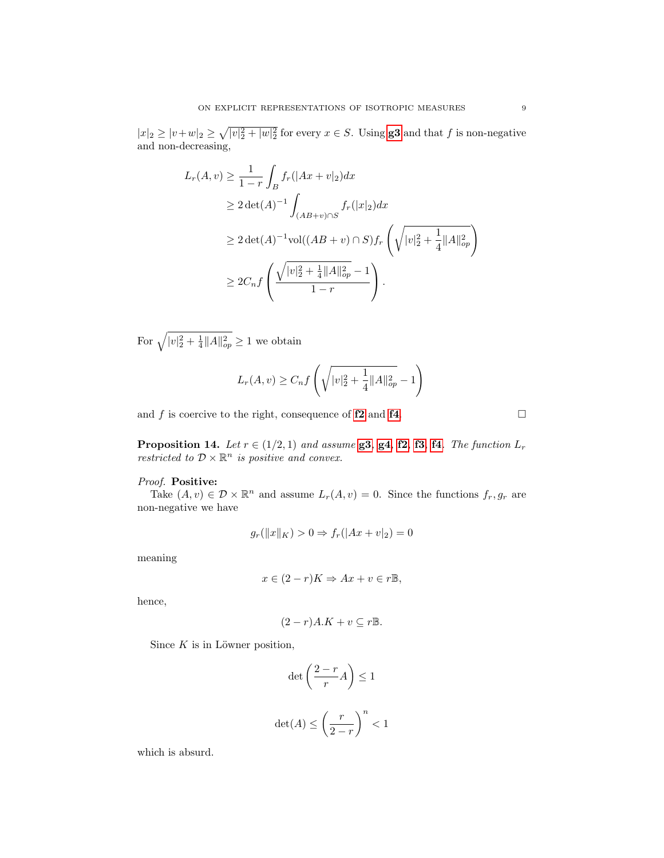$|x|_2 \ge |v+w|_2 \ge \sqrt{|v|_2^2 + |w|_2^2}$  for every  $x \in S$ . Using **[g3](#page-4-5)** and that f is non-negative and non-decreasing,

$$
L_r(A, v) \ge \frac{1}{1-r} \int_B f_r(|Ax + v|_2) dx
$$
  
\n
$$
\ge 2 \det(A)^{-1} \int_{(AB+v)\cap S} f_r(|x|_2) dx
$$
  
\n
$$
\ge 2 \det(A)^{-1} \text{vol}((AB + v) \cap S) f_r \left(\sqrt{|v|_2^2 + \frac{1}{4} ||A||_{op}^2}\right)
$$
  
\n
$$
\ge 2C_n f \left(\frac{\sqrt{|v|_2^2 + \frac{1}{4} ||A||_{op}^2} - 1}{1-r}\right).
$$

For  $\sqrt{|v|_2^2 + \frac{1}{4} ||A||_{op}^2} \ge 1$  we obtain

$$
L_r(A, v) \ge C_n f\left(\sqrt{|v|_2^2 + \frac{1}{4} ||A||_{op}^2} - 1\right)
$$

and f is coercive to the right, consequence of  $f2$  and  $f4$ .

<span id="page-8-0"></span>**Proposition 14.** Let  $r \in (1/2, 1)$  and assume **[g3](#page-4-5)**, **[g4](#page-5-3)**, **[f2](#page-4-1)**, **[f3](#page-4-3)**, **[f4](#page-4-4)**. The function  $L_r$ restricted to  $\mathcal{D} \times \mathbb{R}^n$  is positive and convex.

## Proof. Positive:

Take  $(A, v) \in \mathcal{D} \times \mathbb{R}^n$  and assume  $L_r(A, v) = 0$ . Since the functions  $f_r, g_r$  are non-negative we have

$$
g_r(||x||_K) > 0 \Rightarrow f_r(|Ax + v|_2) = 0
$$

meaning

$$
x \in (2 - r)K \Rightarrow Ax + v \in r\mathbb{B},
$$

hence,

$$
(2-r)A.K + v \subseteq r\mathbb{B}.
$$

Since  $K$  is in Löwner position,

$$
\det\left(\frac{2-r}{r}A\right) \le 1
$$
  

$$
\det(A) \le \left(\frac{r}{2-r}\right)^n < 1
$$

which is absurd.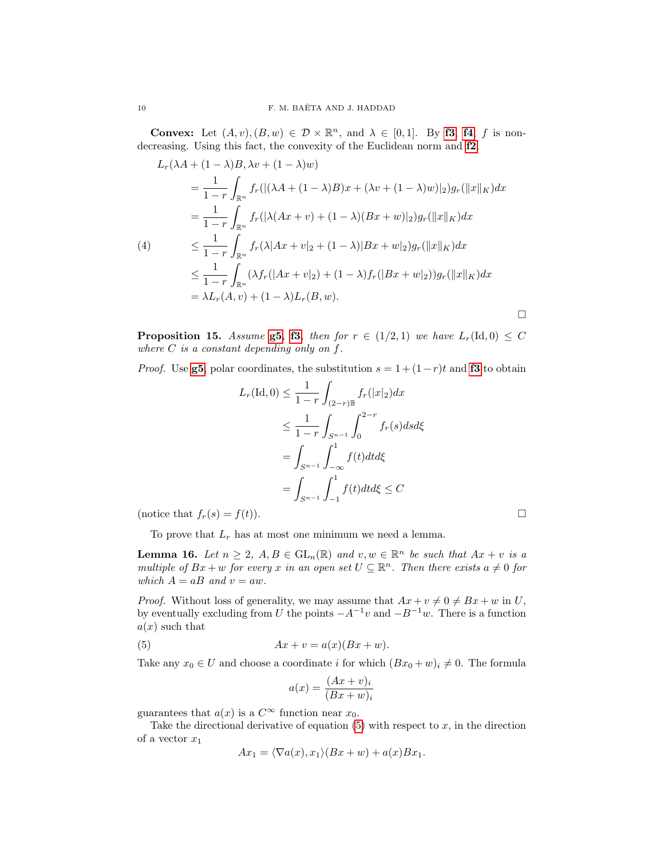**Convex:** Let  $(A, v), (B, w) \in \mathcal{D} \times \mathbb{R}^n$ , and  $\lambda \in [0, 1]$ . By **[f3](#page-4-3)**, **[f4](#page-4-4)**, *f* is nondecreasing. Using this fact, the convexity of the Euclidean norm and [f2](#page-4-1),

<span id="page-9-1"></span>
$$
L_r(\lambda A + (1 - \lambda)B, \lambda v + (1 - \lambda)w)
$$
  
=  $\frac{1}{1 - r} \int_{\mathbb{R}^n} f_r(|(\lambda A + (1 - \lambda)B)x + (\lambda v + (1 - \lambda)w)|_2)g_r(\|x\|_K)dx$   
=  $\frac{1}{1 - r} \int_{\mathbb{R}^n} f_r(|\lambda(Ax + v) + (1 - \lambda)(Bx + w)|_2)g_r(\|x\|_K)dx$   
(4)  
 $\leq \frac{1}{1 - r} \int_{\mathbb{R}^n} f_r(\lambda[Ax + v|_2 + (1 - \lambda)|Bx + w|_2)g_r(\|x\|_K)dx$   
 $\leq \frac{1}{1 - r} \int_{\mathbb{R}^n} (\lambda f_r(|Ax + v|_2) + (1 - \lambda)f_r(|Bx + w|_2))g_r(\|x\|_K)dx$   
=  $\lambda L_r(A, v) + (1 - \lambda)L_r(B, w).$ 

<span id="page-9-3"></span>**Proposition 15.** Assume **[g5](#page-5-0)**, **[f3](#page-4-3)**, then for  $r \in (1/2, 1)$  we have  $L_r(\text{Id}, 0) \leq C$ where  $C$  is a constant depending only on  $f$ .

*Proof.* Use **[g5](#page-5-0)**, polar coordinates, the substitution  $s = 1 + (1 - r)t$  and **[f3](#page-4-3)** to obtain

$$
L_r(\text{Id}, 0) \le \frac{1}{1-r} \int_{(2-r)\mathbb{B}} f_r(|x|_2) dx
$$
  
\n
$$
\le \frac{1}{1-r} \int_{S^{n-1}} \int_0^{2-r} f_r(s) ds d\xi
$$
  
\n
$$
= \int_{S^{n-1}} \int_{-\infty}^1 f(t) dt d\xi
$$
  
\n
$$
= \int_{S^{n-1}} \int_{-1}^1 f(t) dt d\xi \le C
$$

(notice that  $f_r(s) = f(t)$ ).

To prove that  $L_r$  has at most one minimum we need a lemma.

<span id="page-9-2"></span>**Lemma 16.** Let  $n \geq 2$ ,  $A, B \in GL_n(\mathbb{R})$  and  $v, w \in \mathbb{R}^n$  be such that  $Ax + v$  is a multiple of  $Bx + w$  for every x in an open set  $U \subseteq \mathbb{R}^n$ . Then there exists  $a \neq 0$  for which  $A = aB$  and  $v = aw$ .

*Proof.* Without loss of generality, we may assume that  $Ax + v \neq 0 \neq Bx + w$  in U, by eventually excluding from U the points  $-A^{-1}v$  and  $-B^{-1}w$ . There is a function  $a(x)$  such that

<span id="page-9-0"></span>
$$
(5) \qquad \qquad Ax + v = a(x)(Bx + w).
$$

Take any  $x_0 \in U$  and choose a coordinate i for which  $(Bx_0 + w)_i \neq 0$ . The formula

$$
a(x) = \frac{(Ax+v)_i}{(Bx+w)_i}
$$

guarantees that  $a(x)$  is a  $C^{\infty}$  function near  $x_0$ .

Take the directional derivative of equation  $(5)$  with respect to x, in the direction of a vector  $x_1$ 

$$
Ax_1 = \langle \nabla a(x), x_1 \rangle (Bx + w) + a(x)Bx_1.
$$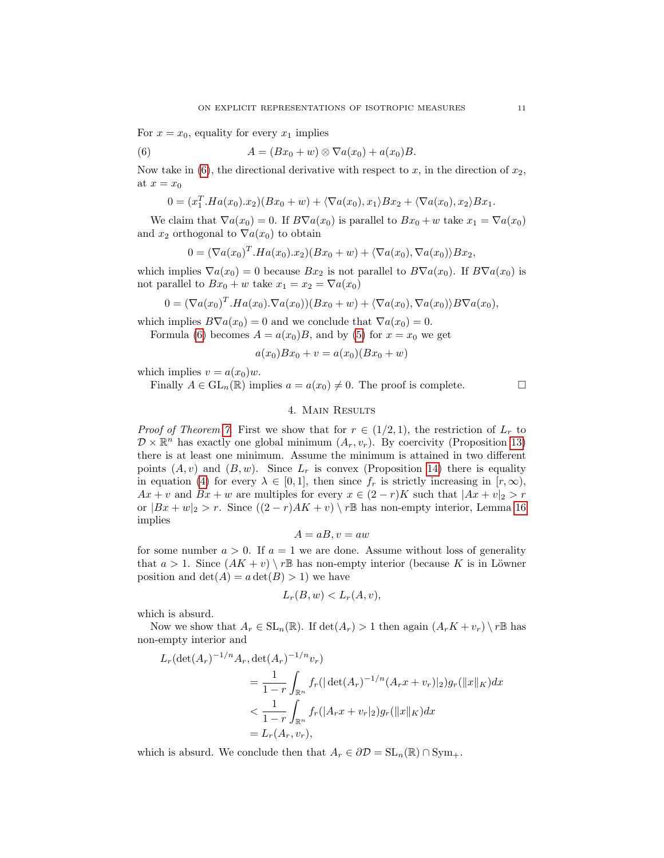For  $x = x_0$ , equality for every  $x_1$  implies

<span id="page-10-1"></span>(6) 
$$
A = (Bx_0 + w) \otimes \nabla a(x_0) + a(x_0)B.
$$

Now take in [\(6\)](#page-10-1), the directional derivative with respect to x, in the direction of  $x_2$ , at  $x = x_0$ 

$$
0 = (x_1^T.Ha(x_0).x_2)(Bx_0+w) + \langle \nabla a(x_0), x_1 \rangle Bx_2 + \langle \nabla a(x_0), x_2 \rangle Bx_1.
$$

We claim that  $\nabla a(x_0) = 0$ . If  $B\nabla a(x_0)$  is parallel to  $Bx_0 + w$  take  $x_1 = \nabla a(x_0)$ and  $x_2$  orthogonal to  $\nabla a(x_0)$  to obtain

$$
0 = (\nabla a(x_0)^T . Ha(x_0).x_2)(Bx_0 + w) + \langle \nabla a(x_0), \nabla a(x_0) \rangle Bx_2,
$$

which implies  $\nabla a(x_0) = 0$  because  $Bx_2$  is not parallel to  $B\nabla a(x_0)$ . If  $B\nabla a(x_0)$  is not parallel to  $Bx_0 + w$  take  $x_1 = x_2 = \nabla a(x_0)$ 

$$
0 = (\nabla a(x_0)^T . Ha(x_0) . \nabla a(x_0)) (Bx_0 + w) + \langle \nabla a(x_0), \nabla a(x_0) \rangle B \nabla a(x_0),
$$

which implies  $B\nabla a(x_0) = 0$  and we conclude that  $\nabla a(x_0) = 0$ .

Formula [\(6\)](#page-10-1) becomes  $A = a(x_0)B$ , and by [\(5\)](#page-9-0) for  $x = x_0$  we get

$$
a(x_0)Bx_0 + v = a(x_0)(Bx_0 + w)
$$

which implies  $v = a(x_0)w$ .

Finally  $A \in GL_n(\mathbb{R})$  implies  $a = a(x_0) \neq 0$ . The proof is complete.

### 4. Main Results

<span id="page-10-0"></span>*Proof of Theorem [7.](#page-5-1)* First we show that for  $r \in (1/2, 1)$ , the restriction of  $L_r$  to  $\mathcal{D} \times \mathbb{R}^n$  has exactly one global minimum  $(A_r, v_r)$ . By coercivity (Proposition [13\)](#page-7-1) there is at least one minimum. Assume the minimum is attained in two different points  $(A, v)$  and  $(B, w)$ . Since  $L_r$  is convex (Proposition [14\)](#page-8-0) there is equality in equation [\(4\)](#page-9-1) for every  $\lambda \in [0,1]$ , then since  $f_r$  is strictly increasing in  $[r,\infty)$ ,  $Ax + v$  and  $Bx + w$  are multiples for every  $x \in (2 - r)K$  such that  $|Ax + v|_2 > r$ or  $|Bx + w|_2 > r$ . Since  $((2 - r)AK + v) \setminus r\mathbb{B}$  has non-empty interior, Lemma [16](#page-9-2) implies

$$
A = aB, v = aw
$$

for some number  $a > 0$ . If  $a = 1$  we are done. Assume without loss of generality that  $a > 1$ . Since  $(AK + v) \setminus r\mathbb{B}$  has non-empty interior (because K is in Löwner position and  $\det(A) = a \det(B) > 1$  we have

$$
L_r(B, w) < L_r(A, v),
$$

which is absurd.

Now we show that  $A_r \in SL_n(\mathbb{R})$ . If  $\det(A_r) > 1$  then again  $(A_rK + v_r) \setminus r\mathbb{B}$  has non-empty interior and

$$
L_r(\det(A_r)^{-1/n}A_r, \det(A_r)^{-1/n}v_r)
$$
  
=  $\frac{1}{1-r}\int_{\mathbb{R}^n}f_r(|\det(A_r)^{-1/n}(A_rx + v_r)|_2)g_r(||x||_K)dx$   
 $< \frac{1}{1-r}\int_{\mathbb{R}^n}f_r(|A_rx + v_r|_2)g_r(||x||_K)dx$   
=  $L_r(A_r, v_r),$ 

which is absurd. We conclude then that  $A_r \in \partial \mathcal{D} = SL_n(\mathbb{R}) \cap Sym_+$ .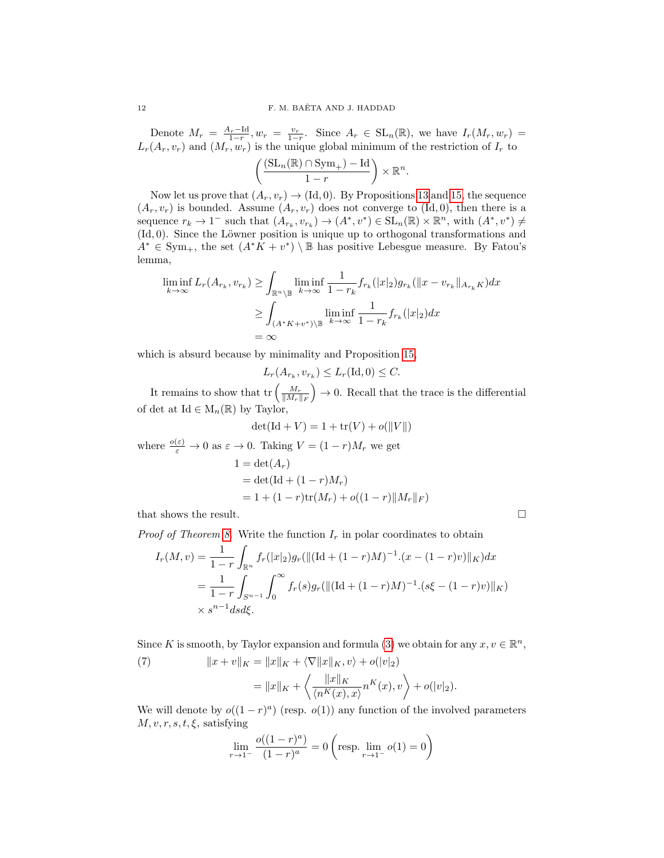Denote  $M_r = \frac{A_r - \text{Id}}{1-r}$ ,  $w_r = \frac{v_r}{1-r}$ . Since  $A_r \in SL_n(\mathbb{R})$ , we have  $I_r(M_r, w_r)$  $L_r(A_r, v_r)$  and  $(M_r, w_r)$  is the unique global minimum of the restriction of  $I_r$  to

$$
\left(\frac{(\mathrm{SL}_n(\mathbb{R}) \cap \mathrm{Sym}_+)-\mathrm{Id}}{1-r}\right) \times \mathbb{R}^n.
$$

Now let us prove that  $(A_r, v_r) \to (\text{Id}, 0)$ . By Propositions [13](#page-7-1) and [15,](#page-9-3) the sequence  $(A_r, v_r)$  is bounded. Assume  $(A_r, v_r)$  does not converge to  $(\mathrm{Id}, 0)$ , then there is a sequence  $r_k \to 1^-$  such that  $(A_{r_k}, v_{r_k}) \to (A^*, v^*) \in SL_n(\mathbb{R}) \times \mathbb{R}^n$ , with  $(A^*, v^*) \neq$  $(H, 0)$ . Since the Löwner position is unique up to orthogonal transformations and  $A^* \in \text{Sym}_+$ , the set  $(A^*K + v^*) \setminus \mathbb{B}$  has positive Lebesgue measure. By Fatou's lemma,

$$
\liminf_{k \to \infty} L_r(A_{r_k}, v_{r_k}) \ge \int_{\mathbb{R}^n \setminus \mathbb{B}} \liminf_{k \to \infty} \frac{1}{1 - r_k} f_{r_k}(|x|_2) g_{r_k}(|x - v_{r_k}||_{A_{r_k} K}) dx
$$

$$
\ge \int_{(A^*K + v^*) \setminus \mathbb{B}} \liminf_{k \to \infty} \frac{1}{1 - r_k} f_{r_k}(|x|_2) dx
$$

$$
= \infty
$$

which is absurd because by minimality and Proposition [15,](#page-9-3)

 $L_r(A_{r_k}, v_{r_k}) \le L_r(\text{Id}, 0) \le C.$ 

It remains to show that  $\text{tr}\left(\frac{M_r}{\|M_r\|_F}\right) \to 0$ . Recall that the trace is the differential of det at Id  $\in M_n(\mathbb{R})$  by Taylor,

$$
\det(\mathrm{Id} + V) = 1 + \text{tr}(V) + o(||V||)
$$

where  $\frac{o(\varepsilon)}{\varepsilon} \to 0$  as  $\varepsilon \to 0$ . Taking  $V = (1 - r)M_r$  we get  $1 = \det(A_r)$  $= det(\mathrm{Id} + (1 - r)M_r)$  $= 1 + (1 - r)\text{tr}(M_r) + o((1 - r)||M_r||_F)$ 

that shows the result.  $\Box$ 

*Proof of Theorem [8.](#page-5-2)* Write the function  $I_r$  in polar coordinates to obtain

$$
I_r(M, v) = \frac{1}{1 - r} \int_{\mathbb{R}^n} f_r(|x|_2) g_r(||(\text{Id} + (1 - r)M)^{-1} \cdot (x - (1 - r)v)||_K) dx
$$
  
= 
$$
\frac{1}{1 - r} \int_{S^{n-1}} \int_0^\infty f_r(s) g_r(||(\text{Id} + (1 - r)M)^{-1} \cdot (s\xi - (1 - r)v)||_K)
$$
  

$$
\times s^{n-1} ds d\xi.
$$

Since K is smooth, by Taylor expansion and formula [\(3\)](#page-6-2) we obtain for any  $x, v \in \mathbb{R}^n$ ,

<span id="page-11-0"></span>(7) 
$$
||x + v||_K = ||x||_K + \langle \nabla ||x||_K, v \rangle + o(|v|_2)
$$

$$
= ||x||_K + \left\langle \frac{||x||_K}{\langle n^K(x), x \rangle} n^K(x), v \right\rangle + o(|v|_2).
$$

We will denote by  $o((1 - r)^a)$  (resp.  $o(1)$ ) any function of the involved parameters  $M, v, r, s, t, \xi$ , satisfying

$$
\lim_{r \to 1^{-}} \frac{o((1-r)^a)}{(1-r)^a} = 0 \left( \text{resp. } \lim_{r \to 1^{-}} o(1) = 0 \right)
$$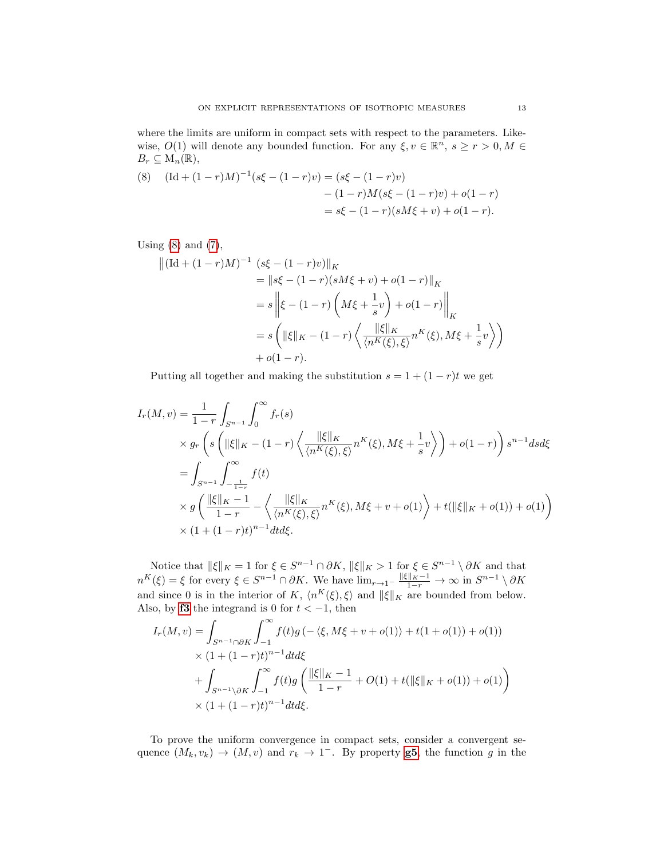where the limits are uniform in compact sets with respect to the parameters. Likewise,  $O(1)$  will denote any bounded function. For any  $\xi, v \in \mathbb{R}^n$ ,  $s \ge r > 0, M \in$  $B_r \subseteq M_n(\mathbb{R}),$ 

<span id="page-12-0"></span>(8) 
$$
(\text{Id} + (1 - r)M)^{-1}(s\xi - (1 - r)v) = (s\xi - (1 - r)v) - (1 - r)M(s\xi - (1 - r)v) + o(1 - r) = s\xi - (1 - r)(sM\xi + v) + o(1 - r).
$$

Using  $(8)$  and  $(7)$ ,

$$
\begin{aligned} \left\| (\text{Id} + (1-r)M)^{-1} \left( s\xi - (1-r)v \right) \right\|_K \\ &= \left\| s\xi - (1-r)(sM\xi + v) + o(1-r) \right\|_K \\ &= s \left\| \xi - (1-r) \left( M\xi + \frac{1}{s}v \right) + o(1-r) \right\|_K \\ &= s \left( \|\xi\|_K - (1-r) \left( \frac{\|\xi\|_K}{\langle n^K(\xi), \xi \rangle} n^K(\xi), M\xi + \frac{1}{s}v \right) \right) \\ &+ o(1-r). \end{aligned}
$$

Putting all together and making the substitution  $s = 1 + (1 - r)t$  we get

$$
I_r(M, v) = \frac{1}{1 - r} \int_{S^{n-1}} \int_0^{\infty} f_r(s)
$$
  
\n
$$
\times g_r \left( s \left( ||\xi||_K - (1 - r) \left\langle \frac{||\xi||_K}{\langle n^K(\xi), \xi \rangle} n^K(\xi), M\xi + \frac{1}{s} v \right\rangle \right) + o(1 - r) \right) s^{n-1} ds d\xi
$$
  
\n
$$
= \int_{S^{n-1}} \int_{-\frac{1}{1-r}}^{\infty} f(t)
$$
  
\n
$$
\times g \left( \frac{||\xi||_K - 1}{1 - r} - \left\langle \frac{||\xi||_K}{\langle n^K(\xi), \xi \rangle} n^K(\xi), M\xi + v + o(1) \right\rangle + t(||\xi||_K + o(1)) + o(1) \right)
$$
  
\n
$$
\times (1 + (1 - r)t)^{n-1} dt d\xi.
$$

Notice that  $\|\xi\|_K = 1$  for  $\xi \in S^{n-1} \cap \partial K$ ,  $\|\xi\|_K > 1$  for  $\xi \in S^{n-1} \setminus \partial K$  and that  $n^{K}(\xi) = \xi$  for every  $\xi \in S^{n-1} \cap \partial K$ . We have  $\lim_{r \to 1^{-}} \frac{\|\xi\|_{K} - 1}{1 - r} \to \infty$  in  $S^{n-1} \setminus \partial K$ and since 0 is in the interior of K,  $\langle n^K(\xi), \xi \rangle$  and  $\|\xi\|_K$  are bounded from below. Also, by **[f3](#page-4-3)** the integrand is 0 for  $t < -1$ , then

$$
I_r(M, v) = \int_{S^{n-1} \cap \partial K} \int_{-1}^{\infty} f(t)g(-\langle \xi, M\xi + v + o(1) \rangle + t(1 + o(1)) + o(1))
$$
  
 
$$
\times (1 + (1 - r)t)^{n-1} dt d\xi
$$
  
+ 
$$
\int_{S^{n-1} \setminus \partial K} \int_{-1}^{\infty} f(t)g\left(\frac{\|\xi\|_K - 1}{1 - r} + O(1) + t(\|\xi\|_K + o(1)) + o(1)\right)
$$
  
 
$$
\times (1 + (1 - r)t)^{n-1} dt d\xi.
$$

To prove the uniform convergence in compact sets, consider a convergent sequence  $(M_k, v_k) \to (M, v)$  and  $r_k \to 1^-$ . By property **[g5](#page-5-0)**, the function g in the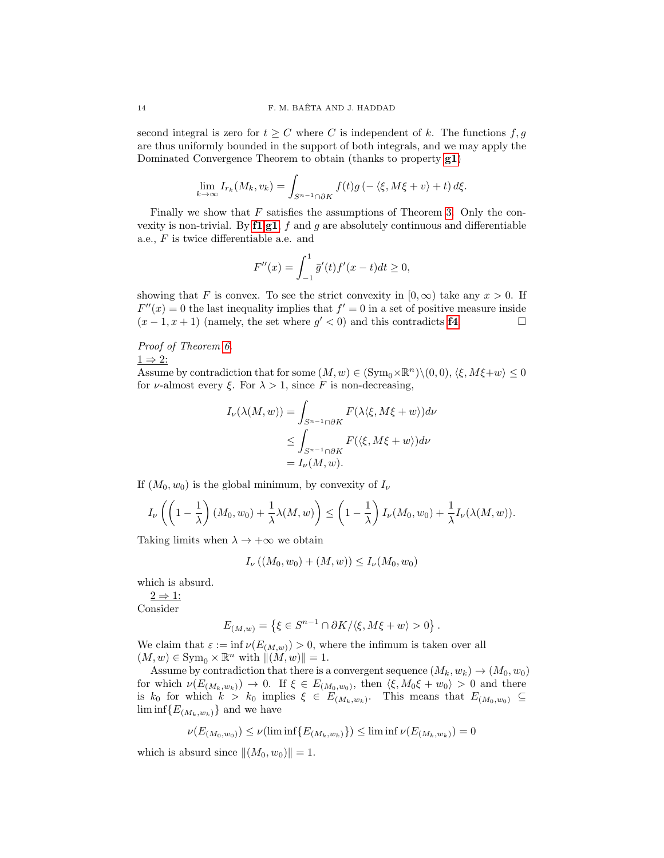second integral is zero for  $t \geq C$  where C is independent of k. The functions  $f, g$ are thus uniformly bounded in the support of both integrals, and we may apply the Dominated Convergence Theorem to obtain (thanks to property [g1](#page-4-2))

$$
\lim_{k \to \infty} I_{r_k}(M_k, v_k) = \int_{S^{n-1} \cap \partial K} f(t)g\left(-\langle \xi, M\xi + v \rangle + t\right) d\xi.
$$

Finally we show that  $F$  satisfies the assumptions of Theorem [3.](#page-2-1) Only the convexity is non-trivial. By  $f1, g1$  $f1, g1$  $f1, g1$ , f and g are absolutely continuous and differentiable a.e., F is twice differentiable a.e. and

$$
F''(x) = \int_{-1}^{1} \bar{g}'(t) f'(x - t) dt \ge 0,
$$

showing that F is convex. To see the strict convexity in  $[0, \infty)$  take any  $x > 0$ . If  $F''(x) = 0$  the last inequality implies that  $f' = 0$  in a set of positive measure inside  $(x-1, x+1)$  (namely, the set where  $g' < 0$ ) and this contradicts **[f4](#page-4-4)**.

# Proof of Theorem [6.](#page-2-0)

 $1 \Rightarrow 2$ :

Assume by contradiction that for some  $(M, w) \in (\text{Sym}_0 \times \mathbb{R}^n) \setminus (0, 0), \langle \xi, M\xi + w \rangle \leq 0$ for *ν*-almost every  $\xi$ . For  $\lambda > 1$ , since F is non-decreasing,

$$
I_{\nu}(\lambda(M, w)) = \int_{S^{n-1} \cap \partial K} F(\lambda \langle \xi, M\xi + w \rangle) d\nu
$$
  
\n
$$
\leq \int_{S^{n-1} \cap \partial K} F(\langle \xi, M\xi + w \rangle) d\nu
$$
  
\n
$$
= I_{\nu}(M, w).
$$

If  $(M_0, w_0)$  is the global minimum, by convexity of  $I_{\nu}$ 

$$
I_{\nu}\left(\left(1-\frac{1}{\lambda}\right)(M_0, w_0) + \frac{1}{\lambda}\lambda(M, w)\right) \leq \left(1-\frac{1}{\lambda}\right)I_{\nu}(M_0, w_0) + \frac{1}{\lambda}I_{\nu}(\lambda(M, w)).
$$

Taking limits when  $\lambda \to +\infty$  we obtain

$$
I_{\nu}((M_0, w_0) + (M, w)) \le I_{\nu}(M_0, w_0)
$$

which is absurd.

 $2 \Rightarrow 1$ : Consider

$$
E_{(M,w)} = \left\{ \xi \in S^{n-1} \cap \partial K / \langle \xi, M\xi + w \rangle > 0 \right\}.
$$

We claim that  $\varepsilon := \inf \nu(E_{(M,w)}) > 0$ , where the infimum is taken over all  $(M, w) \in \text{Sym}_{0} \times \mathbb{R}^{n}$  with  $||(M, w)|| = 1$ .

Assume by contradiction that there is a convergent sequence  $(M_k, w_k) \to (M_0, w_0)$ for which  $\nu(E_{(M_k,w_k)}) \to 0$ . If  $\xi \in E_{(M_0,w_0)}$ , then  $\langle \xi, M_0 \xi + w_0 \rangle > 0$  and there is  $k_0$  for which  $k > k_0$  implies  $\xi \in E_{(M_k,w_k)}$ . This means that  $E_{(M_0,w_0)} \subseteq$  $\liminf \{E_{(M_k,w_k)}\}$  and we have

$$
\nu(E_{(M_0, w_0)}) \le \nu(\liminf \{E_{(M_k, w_k)}\}) \le \liminf \nu(E_{(M_k, w_k)}) = 0
$$

which is absurd since  $\|(M_0, w_0)\| = 1$ .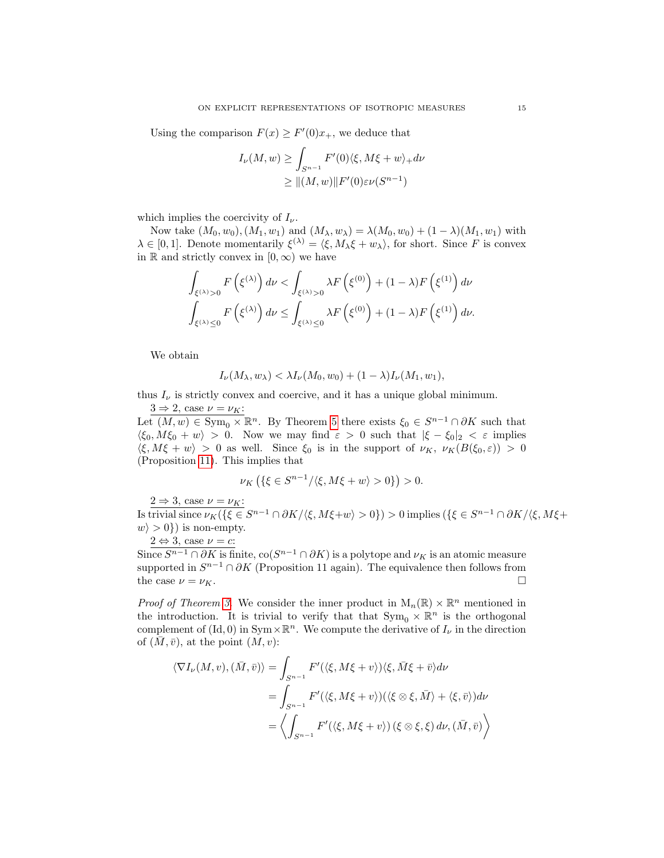Using the comparison  $F(x) \geq F'(0)x_+$ , we deduce that

$$
I_{\nu}(M, w) \ge \int_{S^{n-1}} F'(0) \langle \xi, M\xi + w \rangle_+ d\nu
$$
  
 
$$
\ge ||(M, w)||F'(0)\varepsilon \nu(S^{n-1})
$$

which implies the coercivity of  $I_{\nu}$ .

Now take  $(M_0, w_0), (M_1, w_1)$  and  $(M_\lambda, w_\lambda) = \lambda(M_0, w_0) + (1 - \lambda)(M_1, w_1)$  with  $\lambda \in [0,1]$ . Denote momentarily  $\xi^{(\lambda)} = \langle \xi, M_{\lambda} \xi + w_{\lambda} \rangle$ , for short. Since F is convex in R and strictly convex in  $[0, \infty)$  we have

$$
\int_{\xi^{(\lambda)} > 0} F(\xi^{(\lambda)}) d\nu < \int_{\xi^{(\lambda)} > 0} \lambda F(\xi^{(0)}) + (1 - \lambda) F(\xi^{(1)}) d\nu
$$
  

$$
\int_{\xi^{(\lambda)} \le 0} F(\xi^{(\lambda)}) d\nu \le \int_{\xi^{(\lambda)} \le 0} \lambda F(\xi^{(0)}) + (1 - \lambda) F(\xi^{(1)}) d\nu.
$$

We obtain

$$
I_{\nu}(M_{\lambda},w_{\lambda}) < \lambda I_{\nu}(M_0,w_0) + (1-\lambda)I_{\nu}(M_1,w_1),
$$

thus  $I_{\nu}$  is strictly convex and coercive, and it has a unique global minimum.  $3 \Rightarrow 2$ , case  $\nu = \nu_K$ :

Let  $(M, w) \in \text{Sym}_{0} \times \mathbb{R}^{n}$ . By Theorem [5](#page-2-2) there exists  $\xi_{0} \in S^{n-1} \cap \partial K$  such that  $\langle \xi_0, M\xi_0 + w \rangle > 0$ . Now we may find  $\varepsilon > 0$  such that  $|\xi - \xi_0|_2 < \varepsilon$  implies  $\langle \xi, M\xi + w \rangle > 0$  as well. Since  $\xi_0$  is in the support of  $\nu_K$ ,  $\nu_K(B(\xi_0, \varepsilon)) > 0$ (Proposition [11\)](#page-7-2). This implies that

$$
\nu_K\left(\{\xi \in S^{n-1}/\langle \xi, M\xi + w \rangle > 0\}\right) > 0.
$$

 $2 \Rightarrow 3$ , case  $\nu = \nu_K$ : Is trivial since  $\nu_K(\{\xi \in S^{n-1} \cap \partial K/\langle \xi, M\xi + w \rangle > 0\}) > 0$  implies  $(\{\xi \in S^{n-1} \cap \partial K/\langle \xi, M\xi + w \rangle > 0\})$  $\langle w \rangle > 0$ ) is non-empty.

$$
2 \Leftrightarrow 3
$$
, case  $\nu = c$ :

Since  $S^{n-1} \cap \partial K$  is finite,  $\text{co}(S^{n-1} \cap \partial K)$  is a polytope and  $\nu_K$  is an atomic measure supported in  $S^{n-1} \cap \partial K$  (Proposition 11 again). The equivalence then follows from the case  $\nu = \nu_K$ .

*Proof of Theorem [3.](#page-2-1)* We consider the inner product in  $M_n(\mathbb{R}) \times \mathbb{R}^n$  mentioned in the introduction. It is trivial to verify that that  $Sym_0 \times \mathbb{R}^n$  is the orthogonal complement of (Id, 0) in  $Sym \times \mathbb{R}^n$ . We compute the derivative of  $I_{\nu}$  in the direction of  $(\bar{M}, \bar{v})$ , at the point  $(M, v)$ :

$$
\langle \nabla I_{\nu}(M,v), (\bar{M}, \bar{v}) \rangle = \int_{S^{n-1}} F'(\langle \xi, M\xi + v \rangle) \langle \xi, \bar{M}\xi + \bar{v} \rangle dv
$$
  
= 
$$
\int_{S^{n-1}} F'(\langle \xi, M\xi + v \rangle) (\langle \xi \otimes \xi, \bar{M} \rangle + \langle \xi, \bar{v} \rangle) dv
$$
  
= 
$$
\left\langle \int_{S^{n-1}} F'(\langle \xi, M\xi + v \rangle) (\xi \otimes \xi, \xi) d\nu, (\bar{M}, \bar{v}) \right\rangle
$$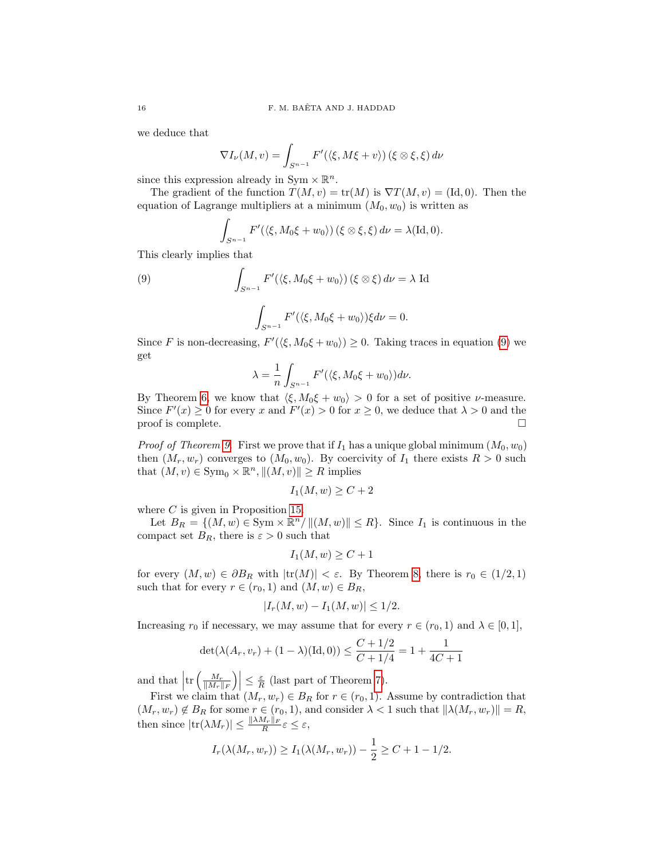we deduce that

$$
\nabla I_{\nu}(M,v) = \int_{S^{n-1}} F'(\langle \xi, M\xi + v \rangle) (\xi \otimes \xi, \xi) d\nu
$$

since this expression already in Sym  $\times \mathbb{R}^n$ .

The gradient of the function  $T(M, v) = \text{tr}(M)$  is  $\nabla T(M, v) = (\text{Id}, 0)$ . Then the equation of Lagrange multipliers at a minimum  $(M_0, w_0)$  is written as

$$
\int_{S^{n-1}} F'(\langle \xi, M_0 \xi + w_0 \rangle) (\xi \otimes \xi, \xi) d\nu = \lambda(\mathrm{Id}, 0).
$$

This clearly implies that

<span id="page-15-0"></span>(9) 
$$
\int_{S^{n-1}} F'(\langle \xi, M_0 \xi + w_0 \rangle) (\xi \otimes \xi) d\nu = \lambda \text{ Id}
$$

$$
\int_{S^{n-1}} F'(\langle \xi, M_0 \xi + w_0 \rangle) \xi d\nu = 0.
$$

Since F is non-decreasing,  $F'(\langle \xi, M_0 \xi + w_0 \rangle) \geq 0$ . Taking traces in equation [\(9\)](#page-15-0) we get

$$
\lambda = \frac{1}{n} \int_{S^{n-1}} F'(\langle \xi, M_0 \xi + w_0 \rangle) d\nu.
$$

By Theorem [6,](#page-2-0) we know that  $\langle \xi, M_0 \xi + w_0 \rangle > 0$  for a set of positive *v*-measure. Since  $F'(x) \ge 0$  for every x and  $F'(x) > 0$  for  $x \ge 0$ , we deduce that  $\lambda > 0$  and the  $\Box$  proof is complete.

*Proof of Theorem [9.](#page-6-1)* First we prove that if  $I_1$  has a unique global minimum  $(M_0, w_0)$ then  $(M_r, w_r)$  converges to  $(M_0, w_0)$ . By coercivity of  $I_1$  there exists  $R > 0$  such that  $(M, v) \in \text{Sym}_{0} \times \mathbb{R}^{n}, \|(M, v)\| \geq R$  implies

$$
I_1(M, w) \ge C + 2
$$

where  $C$  is given in Proposition [15.](#page-9-3)

Let  $B_R = \{(M, w) \in \text{Sym} \times \mathbb{R}^n / ||(M, w)|| \le R\}$ . Since  $I_1$  is continuous in the compact set  $B_R$ , there is  $\varepsilon > 0$  such that

$$
I_1(M, w) \ge C + 1
$$

for every  $(M, w) \in \partial B_R$  with  $|\text{tr}(M)| < \varepsilon$ . By Theorem [8,](#page-5-2) there is  $r_0 \in (1/2, 1)$ such that for every  $r \in (r_0, 1)$  and  $(M, w) \in B_R$ ,

$$
|I_r(M, w) - I_1(M, w)| \le 1/2.
$$

Increasing  $r_0$  if necessary, we may assume that for every  $r \in (r_0, 1)$  and  $\lambda \in [0, 1]$ ,

$$
\det(\lambda(A_r, v_r) + (1 - \lambda)(\text{Id}, 0)) \le \frac{C + 1/2}{C + 1/4} = 1 + \frac{1}{4C + 1}
$$

and that  $\left|\text{tr}\left(\frac{M_r}{\|M_r\|_F}\right)\right| \leq \frac{\varepsilon}{R}$  (last part of Theorem [7\)](#page-5-1).

First we claim that  $(M_r, w_r) \in B_R$  for  $r \in (r_0, 1)$ . Assume by contradiction that  $(M_r, w_r) \notin B_R$  for some  $r \in (r_0, 1)$ , and consider  $\lambda < 1$  such that  $\|\lambda(M_r, w_r)\| = R$ , then since  $|\text{tr}(\lambda M_r)| \leq \frac{\|\lambda M_r\|_F}{R} \varepsilon \leq \varepsilon$ ,

$$
I_r(\lambda(M_r, w_r)) \ge I_1(\lambda(M_r, w_r)) - \frac{1}{2} \ge C + 1 - 1/2.
$$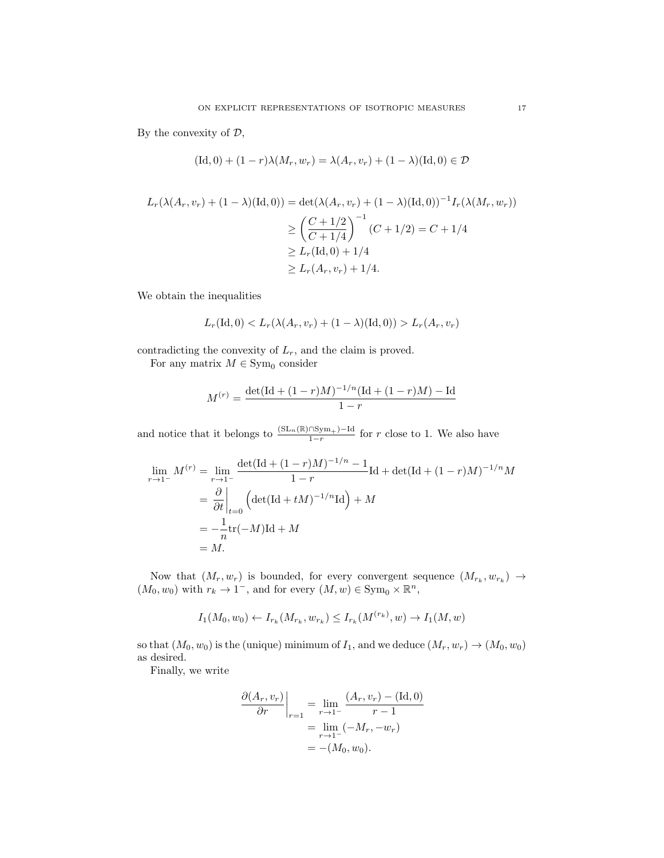By the convexity of  $D$ ,

$$
(\mathrm{Id}, 0) + (1 - r)\lambda(M_r, w_r) = \lambda(A_r, v_r) + (1 - \lambda)(\mathrm{Id}, 0) \in \mathcal{D}
$$

$$
L_r(\lambda(A_r, v_r) + (1 - \lambda)(\text{Id}, 0)) = \det(\lambda(A_r, v_r) + (1 - \lambda)(\text{Id}, 0))^{-1} I_r(\lambda(M_r, w_r))
$$
  
\n
$$
\geq \left(\frac{C + 1/2}{C + 1/4}\right)^{-1} (C + 1/2) = C + 1/4
$$
  
\n
$$
\geq L_r(\text{Id}, 0) + 1/4
$$
  
\n
$$
\geq L_r(A_r, v_r) + 1/4.
$$

We obtain the inequalities

$$
L_r(\text{Id}, 0) < L_r(\lambda(A_r, v_r) + (1 - \lambda)(\text{Id}, 0)) > L_r(A_r, v_r)
$$

contradicting the convexity of  $L_r$ , and the claim is proved.

For any matrix  $M \in \text{Sym}_{0}$  consider

$$
M^{(r)} = \frac{\det(\text{Id} + (1-r)M)^{-1/n}(\text{Id} + (1-r)M) - \text{Id}}{1-r}
$$

and notice that it belongs to  $\frac{(SL_n(\mathbb{R})\cap Sym_+)-Id}{1-r}$  for r close to 1. We also have

$$
\lim_{r \to 1^{-}} M^{(r)} = \lim_{r \to 1^{-}} \frac{\det(\text{Id} + (1 - r)M)^{-1/n} - 1}{1 - r} \text{Id} + \det(\text{Id} + (1 - r)M)^{-1/n} M
$$
  
=  $\frac{\partial}{\partial t} \Big|_{t=0} \left( \det(\text{Id} + tM)^{-1/n} \text{Id} \right) + M$   
=  $-\frac{1}{n} \text{tr}(-M) \text{Id} + M$   
= M.

Now that  $(M_r, w_r)$  is bounded, for every convergent sequence  $(M_{r_k}, w_{r_k}) \rightarrow$  $(M_0, w_0)$  with  $r_k \to 1^-$ , and for every  $(M, w) \in \text{Sym}_0 \times \mathbb{R}^n$ ,

$$
I_1(M_0, w_0) \leftarrow I_{r_k}(M_{r_k}, w_{r_k}) \leq I_{r_k}(M^{(r_k)}, w) \rightarrow I_1(M, w)
$$

so that  $(M_0, w_0)$  is the (unique) minimum of  $I_1$ , and we deduce  $(M_r, w_r) \rightarrow (M_0, w_0)$ as desired.

Finally, we write

$$
\frac{\partial (A_r, v_r)}{\partial r}\Big|_{r=1} = \lim_{r \to 1^-} \frac{(A_r, v_r) - (\text{Id}, 0)}{r - 1} \n= \lim_{r \to 1^-} (-M_r, -w_r) \n= -(M_0, w_0).
$$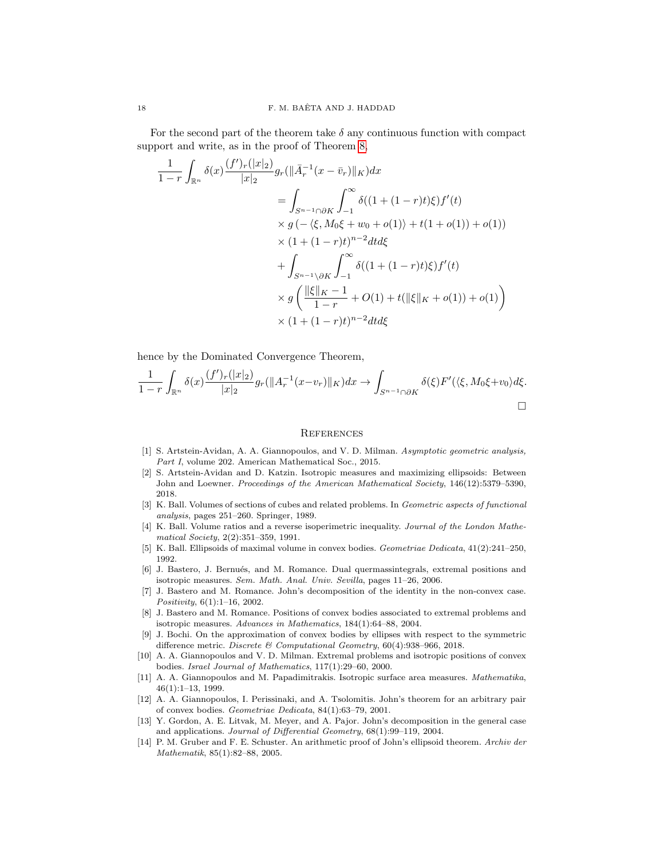For the second part of the theorem take  $\delta$  any continuous function with compact support and write, as in the proof of Theorem [8,](#page-5-2)

$$
\frac{1}{1-r} \int_{\mathbb{R}^n} \delta(x) \frac{(f')_r(|x|_2)}{|x|_2} g_r(||\bar{A}_r^{-1}(x-\bar{v}_r)||_K) dx
$$
\n
$$
= \int_{S^{n-1} \cap \partial K} \int_{-1}^{\infty} \delta((1+(1-r)t)\xi) f'(t)
$$
\n
$$
\times g\left(-\langle \xi, M_0\xi + w_0 + o(1) \rangle + t(1+o(1)) + o(1) \right)
$$
\n
$$
\times (1+(1-r)t)^{n-2} dt d\xi
$$
\n
$$
+ \int_{S^{n-1} \setminus \partial K} \int_{-1}^{\infty} \delta((1+(1-r)t)\xi) f'(t)
$$
\n
$$
\times g\left(\frac{||\xi||_K - 1}{1-r} + O(1) + t(||\xi||_K + o(1)) + o(1)\right)
$$
\n
$$
\times (1+(1-r)t)^{n-2} dt d\xi
$$

hence by the Dominated Convergence Theorem,

$$
\frac{1}{1-r}\int_{\mathbb{R}^n}\delta(x)\frac{(f')_r(|x|_2)}{|x|_2}g_r(||A_r^{-1}(x-v_r)||_K)dx \to \int_{S^{n-1}\cap\partial K}\delta(\xi)F'(\langle \xi, M_0\xi+v_0\rangle d\xi.
$$

#### **REFERENCES**

- <span id="page-17-9"></span>[1] S. Artstein-Avidan, A. A. Giannopoulos, and V. D. Milman. Asymptotic geometric analysis, Part I, volume 202. American Mathematical Soc., 2015.
- <span id="page-17-11"></span>[2] S. Artstein-Avidan and D. Katzin. Isotropic measures and maximizing ellipsoids: Between John and Loewner. Proceedings of the American Mathematical Society, 146(12):5379–5390, 2018.
- <span id="page-17-7"></span>[3] K. Ball. Volumes of sections of cubes and related problems. In Geometric aspects of functional analysis, pages 251–260. Springer, 1989.
- <span id="page-17-8"></span>[4] K. Ball. Volume ratios and a reverse isoperimetric inequality. Journal of the London Mathematical Society, 2(2):351–359, 1991.
- <span id="page-17-0"></span>[5] K. Ball. Ellipsoids of maximal volume in convex bodies. Geometriae Dedicata, 41(2):241–250, 1992.
- <span id="page-17-12"></span>[6] J. Bastero, J. Bernués, and M. Romance. Dual quermassintegrals, extremal positions and isotropic measures. Sem. Math. Anal. Univ. Sevilla, pages 11–26, 2006.
- <span id="page-17-5"></span>[7] J. Bastero and M. Romance. John's decomposition of the identity in the non-convex case. Positivity, 6(1):1–16, 2002.
- <span id="page-17-4"></span>[8] J. Bastero and M. Romance. Positions of convex bodies associated to extremal problems and isotropic measures. Advances in Mathematics, 184(1):64–88, 2004.
- <span id="page-17-13"></span>[9] J. Bochi. On the approximation of convex bodies by ellipses with respect to the symmetric difference metric. Discrete & Computational Geometry,  $60(4)$ :938–966, 2018.
- <span id="page-17-2"></span>[10] A. A. Giannopoulos and V. D. Milman. Extremal problems and isotropic positions of convex bodies. Israel Journal of Mathematics, 117(1):29–60, 2000.
- <span id="page-17-1"></span>[11] A. A. Giannopoulos and M. Papadimitrakis. Isotropic surface area measures. Mathematika, 46(1):1–13, 1999.
- <span id="page-17-3"></span>[12] A. A. Giannopoulos, I. Perissinaki, and A. Tsolomitis. John's theorem for an arbitrary pair of convex bodies. Geometriae Dedicata, 84(1):63–79, 2001.
- <span id="page-17-6"></span>[13] Y. Gordon, A. E. Litvak, M. Meyer, and A. Pajor. John's decomposition in the general case and applications. Journal of Differential Geometry, 68(1):99–119, 2004.
- <span id="page-17-10"></span>[14] P. M. Gruber and F. E. Schuster. An arithmetic proof of John's ellipsoid theorem. Archiv der Mathematik, 85(1):82–88, 2005.